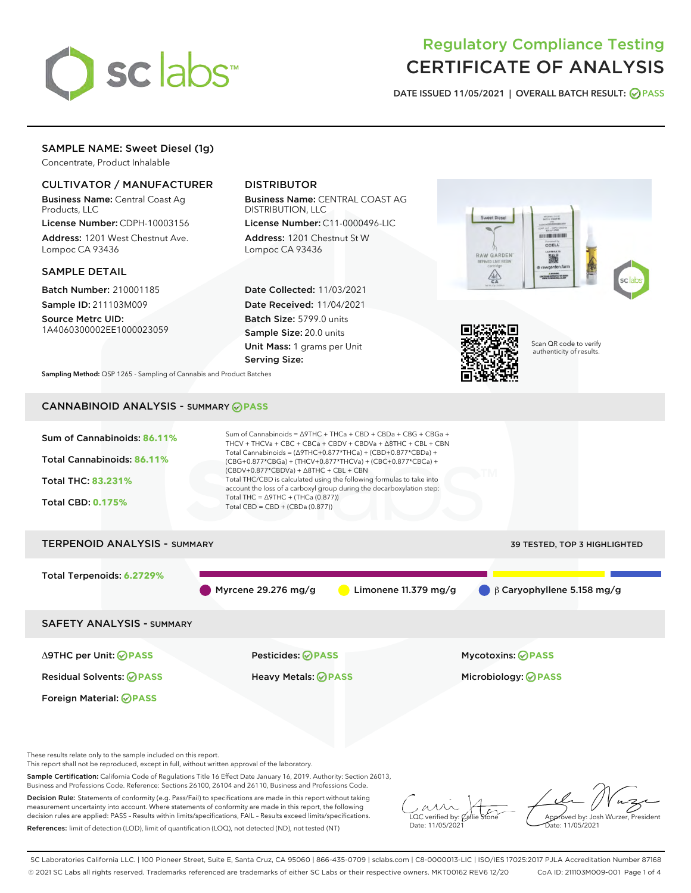

# Regulatory Compliance Testing CERTIFICATE OF ANALYSIS

DATE ISSUED 11/05/2021 | OVERALL BATCH RESULT: @ PASS

# SAMPLE NAME: Sweet Diesel (1g)

Concentrate, Product Inhalable

# CULTIVATOR / MANUFACTURER

Business Name: Central Coast Ag Products, LLC

License Number: CDPH-10003156 Address: 1201 West Chestnut Ave. Lompoc CA 93436

## SAMPLE DETAIL

Batch Number: 210001185 Sample ID: 211103M009

Source Metrc UID: 1A4060300002EE1000023059

# DISTRIBUTOR

Business Name: CENTRAL COAST AG DISTRIBUTION, LLC

License Number: C11-0000496-LIC Address: 1201 Chestnut St W Lompoc CA 93436

Date Collected: 11/03/2021 Date Received: 11/04/2021 Batch Size: 5799.0 units Sample Size: 20.0 units Unit Mass: 1 grams per Unit Serving Size:





Scan QR code to verify authenticity of results.

Sampling Method: QSP 1265 - Sampling of Cannabis and Product Batches

# CANNABINOID ANALYSIS - SUMMARY **PASS**



This report shall not be reproduced, except in full, without written approval of the laboratory.

Sample Certification: California Code of Regulations Title 16 Effect Date January 16, 2019. Authority: Section 26013, Business and Professions Code. Reference: Sections 26100, 26104 and 26110, Business and Professions Code.

Decision Rule: Statements of conformity (e.g. Pass/Fail) to specifications are made in this report without taking measurement uncertainty into account. Where statements of conformity are made in this report, the following decision rules are applied: PASS – Results within limits/specifications, FAIL – Results exceed limits/specifications. References: limit of detection (LOD), limit of quantification (LOQ), not detected (ND), not tested (NT)

 $\overline{\text{C}}$  verified by:  $\overline{\text{C}}$ Date: 11/05/2021

Approved by: Josh Wurzer, President ate: 11/05/2021

SC Laboratories California LLC. | 100 Pioneer Street, Suite E, Santa Cruz, CA 95060 | 866-435-0709 | sclabs.com | C8-0000013-LIC | ISO/IES 17025:2017 PJLA Accreditation Number 87168 © 2021 SC Labs all rights reserved. Trademarks referenced are trademarks of either SC Labs or their respective owners. MKT00162 REV6 12/20 CoA ID: 211103M009-001 Page 1 of 4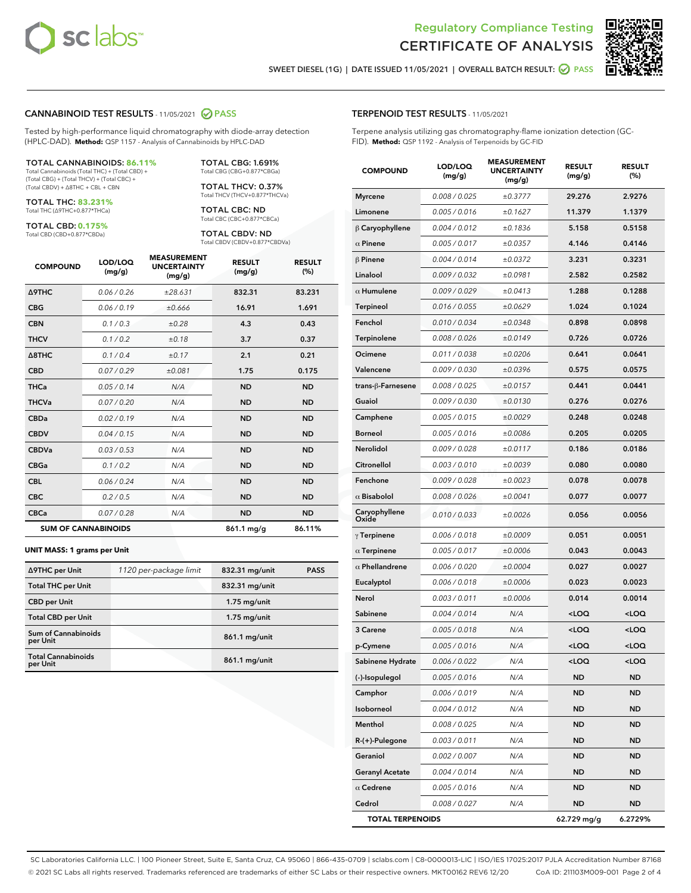



SWEET DIESEL (1G) | DATE ISSUED 11/05/2021 | OVERALL BATCH RESULT: @ PASS

#### CANNABINOID TEST RESULTS - 11/05/2021 2 PASS

Tested by high-performance liquid chromatography with diode-array detection (HPLC-DAD). **Method:** QSP 1157 - Analysis of Cannabinoids by HPLC-DAD

#### TOTAL CANNABINOIDS: **86.11%**

Total Cannabinoids (Total THC) + (Total CBD) + (Total CBG) + (Total THCV) + (Total CBC) + (Total CBDV) + ∆8THC + CBL + CBN

TOTAL THC: **83.231%** Total THC (∆9THC+0.877\*THCa)

TOTAL CBD: **0.175%**

Total CBD (CBD+0.877\*CBDa)

TOTAL CBG: 1.691% Total CBG (CBG+0.877\*CBGa)

TOTAL THCV: 0.37% Total THCV (THCV+0.877\*THCVa)

TOTAL CBC: ND Total CBC (CBC+0.877\*CBCa)

TOTAL CBDV: ND Total CBDV (CBDV+0.877\*CBDVa)

| <b>COMPOUND</b>            | LOD/LOQ<br>(mg/g) | <b>MEASUREMENT</b><br><b>UNCERTAINTY</b><br>(mg/g) | <b>RESULT</b><br>(mg/g) | <b>RESULT</b><br>(%) |
|----------------------------|-------------------|----------------------------------------------------|-------------------------|----------------------|
| <b>A9THC</b>               | 0.06 / 0.26       | ±28.631                                            | 832.31                  | 83.231               |
| <b>CBG</b>                 | 0.06/0.19         | ±0.666                                             | 16.91                   | 1.691                |
| <b>CBN</b>                 | 0.1 / 0.3         | ±0.28                                              | 4.3                     | 0.43                 |
| <b>THCV</b>                | 0.1/0.2           | ±0.18                                              | 3.7                     | 0.37                 |
| $\triangle$ 8THC           | 0.1/0.4           | ±0.17                                              | 2.1                     | 0.21                 |
| <b>CBD</b>                 | 0.07/0.29         | ±0.081                                             | 1.75                    | 0.175                |
| <b>THCa</b>                | 0.05/0.14         | N/A                                                | <b>ND</b>               | <b>ND</b>            |
| <b>THCVa</b>               | 0.07/0.20         | N/A                                                | <b>ND</b>               | <b>ND</b>            |
| <b>CBDa</b>                | 0.02/0.19         | N/A                                                | <b>ND</b>               | <b>ND</b>            |
| <b>CBDV</b>                | 0.04 / 0.15       | N/A                                                | <b>ND</b>               | <b>ND</b>            |
| <b>CBDVa</b>               | 0.03/0.53         | N/A                                                | <b>ND</b>               | <b>ND</b>            |
| <b>CBGa</b>                | 0.1/0.2           | N/A                                                | <b>ND</b>               | <b>ND</b>            |
| <b>CBL</b>                 | 0.06 / 0.24       | N/A                                                | <b>ND</b>               | <b>ND</b>            |
| <b>CBC</b>                 | 0.2 / 0.5         | N/A                                                | <b>ND</b>               | <b>ND</b>            |
| <b>CBCa</b>                | 0.07/0.28         | N/A                                                | <b>ND</b>               | <b>ND</b>            |
| <b>SUM OF CANNABINOIDS</b> |                   |                                                    | 861.1 mg/g              | 86.11%               |

#### **UNIT MASS: 1 grams per Unit**

| ∆9THC per Unit                        | 1120 per-package limit | 832.31 mg/unit  | <b>PASS</b> |
|---------------------------------------|------------------------|-----------------|-------------|
| <b>Total THC per Unit</b>             |                        | 832.31 mg/unit  |             |
| <b>CBD per Unit</b>                   |                        | $1.75$ mg/unit  |             |
| <b>Total CBD per Unit</b>             |                        | $1.75$ mg/unit  |             |
| Sum of Cannabinoids<br>per Unit       |                        | $861.1$ mg/unit |             |
| <b>Total Cannabinoids</b><br>per Unit |                        | $861.1$ mg/unit |             |

| <b>COMPOUND</b>         | LOD/LOQ<br>(mg/g) | <b>MEASUREMENT</b><br><b>UNCERTAINTY</b><br>(mg/g) | <b>RESULT</b><br>(mg/g)                         | <b>RESULT</b><br>(%) |
|-------------------------|-------------------|----------------------------------------------------|-------------------------------------------------|----------------------|
| <b>Myrcene</b>          | 0.008 / 0.025     | ±0.3777                                            | 29.276                                          | 2.9276               |
| Limonene                | 0.005 / 0.016     | ±0.1627                                            | 11.379                                          | 1.1379               |
| $\beta$ Caryophyllene   | 0.004 / 0.012     | ±0.1836                                            | 5.158                                           | 0.5158               |
| $\alpha$ Pinene         | 0.005 / 0.017     | ±0.0357                                            | 4.146                                           | 0.4146               |
| $\beta$ Pinene          | 0.004 / 0.014     | ±0.0372                                            | 3.231                                           | 0.3231               |
| Linalool                | 0.009 / 0.032     | ±0.0981                                            | 2.582                                           | 0.2582               |
| $\alpha$ Humulene       | 0.009 / 0.029     | ±0.0413                                            | 1.288                                           | 0.1288               |
| Terpineol               | 0.016 / 0.055     | ±0.0629                                            | 1.024                                           | 0.1024               |
| Fenchol                 | 0.010 / 0.034     | ±0.0348                                            | 0.898                                           | 0.0898               |
| <b>Terpinolene</b>      | 0.008 / 0.026     | ±0.0149                                            | 0.726                                           | 0.0726               |
| Ocimene                 | 0.011 / 0.038     | ±0.0206                                            | 0.641                                           | 0.0641               |
| Valencene               | 0.009 / 0.030     | ±0.0396                                            | 0.575                                           | 0.0575               |
| trans-ß-Farnesene       | 0.008 / 0.025     | ±0.0157                                            | 0.441                                           | 0.0441               |
| Guaiol                  | 0.009 / 0.030     | ±0.0130                                            | 0.276                                           | 0.0276               |
| Camphene                | 0.005 / 0.015     | ±0.0029                                            | 0.248                                           | 0.0248               |
| <b>Borneol</b>          | 0.005 / 0.016     | ±0.0086                                            | 0.205                                           | 0.0205               |
| Nerolidol               | 0.009 / 0.028     | ±0.0117                                            | 0.186                                           | 0.0186               |
| Citronellol             | 0.003 / 0.010     | ±0.0039                                            | 0.080                                           | 0.0080               |
| Fenchone                | 0.009 / 0.028     | ±0.0023                                            | 0.078                                           | 0.0078               |
| $\alpha$ Bisabolol      | 0.008 / 0.026     | ±0.0041                                            | 0.077                                           | 0.0077               |
| Caryophyllene<br>Oxide  | 0.010 / 0.033     | ±0.0026                                            | 0.056                                           | 0.0056               |
| $\gamma$ Terpinene      | 0.006 / 0.018     | ±0.0009                                            | 0.051                                           | 0.0051               |
| $\alpha$ Terpinene      | 0.005 / 0.017     | ±0.0006                                            | 0.043                                           | 0.0043               |
| $\alpha$ Phellandrene   | 0.006 / 0.020     | ±0.0004                                            | 0.027                                           | 0.0027               |
| Eucalyptol              | 0.006 / 0.018     | ±0.0006                                            | 0.023                                           | 0.0023               |
| Nerol                   | 0.003 / 0.011     | ±0.0006                                            | 0.014                                           | 0.0014               |
| Sabinene                | 0.004 / 0.014     | N/A                                                | <loq< th=""><th><loq< th=""></loq<></th></loq<> | <loq< th=""></loq<>  |
| 3 Carene                | 0.005 / 0.018     | N/A                                                | <loq< th=""><th><loq< th=""></loq<></th></loq<> | <loq< th=""></loq<>  |
| p-Cymene                | 0.005 / 0.016     | N/A                                                | <loq< th=""><th><loq< th=""></loq<></th></loq<> | <loq< th=""></loq<>  |
| Sabinene Hydrate        | 0.006 / 0.022     | N/A                                                | $\sim$ 00                                       | $\sim$ OO Is         |
| (-)-Isopulegol          | 0.005 / 0.016     | N/A                                                | ND                                              | ND                   |
| Camphor                 | 0.006 / 0.019     | N/A                                                | ND                                              | ND                   |
| Isoborneol              | 0.004 / 0.012     | N/A                                                | ND                                              | <b>ND</b>            |
| Menthol                 | 0.008 / 0.025     | N/A                                                | ND                                              | <b>ND</b>            |
| R-(+)-Pulegone          | 0.003 / 0.011     | N/A                                                | ND                                              | ND                   |
| Geraniol                | 0.002 / 0.007     | N/A                                                | ND                                              | ND                   |
| <b>Geranyl Acetate</b>  | 0.004 / 0.014     | N/A                                                | ND                                              | ND                   |
| $\alpha$ Cedrene        | 0.005 / 0.016     | N/A                                                | ND                                              | ND                   |
| Cedrol                  | 0.008 / 0.027     | N/A                                                | ND                                              | ND                   |
| <b>TOTAL TERPENOIDS</b> |                   |                                                    | 62.729 mg/g                                     | 6.2729%              |

SC Laboratories California LLC. | 100 Pioneer Street, Suite E, Santa Cruz, CA 95060 | 866-435-0709 | sclabs.com | C8-0000013-LIC | ISO/IES 17025:2017 PJLA Accreditation Number 87168 © 2021 SC Labs all rights reserved. Trademarks referenced are trademarks of either SC Labs or their respective owners. MKT00162 REV6 12/20 CoA ID: 211103M009-001 Page 2 of 4

# TERPENOID TEST RESULTS - 11/05/2021

Terpene analysis utilizing gas chromatography-flame ionization detection (GC-FID). **Method:** QSP 1192 - Analysis of Terpenoids by GC-FID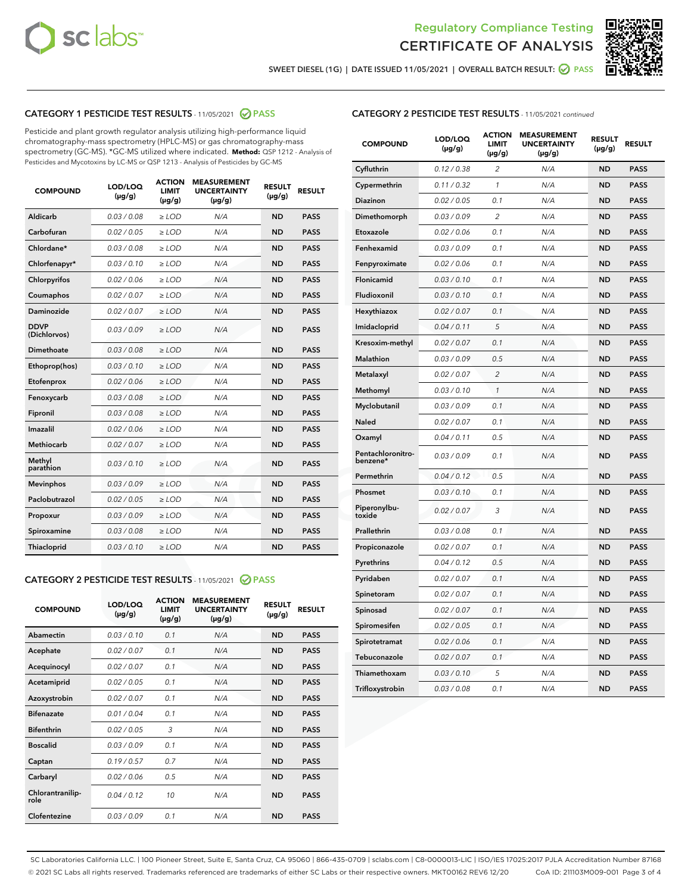



SWEET DIESEL (1G) | DATE ISSUED 11/05/2021 | OVERALL BATCH RESULT: @ PASS

# CATEGORY 1 PESTICIDE TEST RESULTS - 11/05/2021 2 PASS

Pesticide and plant growth regulator analysis utilizing high-performance liquid chromatography-mass spectrometry (HPLC-MS) or gas chromatography-mass spectrometry (GC-MS). \*GC-MS utilized where indicated. **Method:** QSP 1212 - Analysis of Pesticides and Mycotoxins by LC-MS or QSP 1213 - Analysis of Pesticides by GC-MS

| Aldicarb<br>0.03 / 0.08<br>$\ge$ LOD<br>N/A<br><b>ND</b><br><b>PASS</b><br>Carbofuran<br>0.02 / 0.05<br><b>ND</b><br><b>PASS</b><br>$\ge$ LOD<br>N/A<br>Chlordane*<br>0.03 / 0.08<br>$\ge$ LOD<br>N/A<br><b>ND</b><br><b>PASS</b><br>Chlorfenapyr*<br>0.03/0.10<br>N/A<br><b>ND</b><br><b>PASS</b><br>$\ge$ LOD<br>N/A<br><b>ND</b><br><b>PASS</b><br>Chlorpyrifos<br>0.02 / 0.06<br>$\ge$ LOD<br>0.02 / 0.07<br>Coumaphos<br>$>$ LOD<br>N/A<br><b>ND</b><br><b>PASS</b><br>Daminozide<br>0.02/0.07<br>N/A<br><b>ND</b><br>$>$ LOD<br><b>PASS</b><br><b>DDVP</b><br>0.03/0.09<br>$\ge$ LOD<br>N/A<br><b>ND</b><br><b>PASS</b><br>(Dichlorvos)<br>Dimethoate<br>0.03 / 0.08<br>$\ge$ LOD<br>N/A<br><b>ND</b><br><b>PASS</b><br>0.03/0.10<br><b>ND</b><br><b>PASS</b><br>$\ge$ LOD<br>N/A<br>Ethoprop(hos)<br>0.02 / 0.06<br>$\ge$ LOD<br>N/A<br><b>ND</b><br><b>PASS</b><br>Etofenprox<br>0.03 / 0.08<br>$\ge$ LOD<br>N/A<br><b>ND</b><br><b>PASS</b><br>Fenoxycarb<br>0.03 / 0.08<br>Fipronil<br>$\ge$ LOD<br>N/A<br><b>ND</b><br><b>PASS</b><br>Imazalil<br>0.02 / 0.06<br>$\ge$ LOD<br>N/A<br><b>ND</b><br><b>PASS</b><br>Methiocarb<br>0.02 / 0.07<br>N/A<br><b>ND</b><br>$>$ LOD<br><b>PASS</b><br>Methyl<br>N/A<br><b>ND</b><br>0.03/0.10<br>$\ge$ LOD<br><b>PASS</b><br>parathion<br>0.03/0.09<br>N/A<br><b>ND</b><br><b>PASS</b><br><b>Mevinphos</b><br>$\ge$ LOD<br>Paclobutrazol<br>0.02 / 0.05<br><b>ND</b><br><b>PASS</b><br>$\ge$ LOD<br>N/A<br>0.03/0.09<br>$\ge$ LOD<br>N/A<br><b>ND</b><br><b>PASS</b><br>Propoxur<br>0.03 / 0.08<br>$\ge$ LOD<br>N/A<br><b>ND</b><br><b>PASS</b><br>Spiroxamine<br>0.03/0.10<br>Thiacloprid<br>$\ge$ LOD<br>N/A<br><b>ND</b><br><b>PASS</b> | <b>COMPOUND</b> | LOD/LOQ<br>$(\mu g/g)$ | <b>ACTION</b><br><b>LIMIT</b><br>$(\mu g/g)$ | <b>MEASUREMENT</b><br><b>UNCERTAINTY</b><br>$(\mu g/g)$ | <b>RESULT</b><br>$(\mu g/g)$ | <b>RESULT</b> |
|---------------------------------------------------------------------------------------------------------------------------------------------------------------------------------------------------------------------------------------------------------------------------------------------------------------------------------------------------------------------------------------------------------------------------------------------------------------------------------------------------------------------------------------------------------------------------------------------------------------------------------------------------------------------------------------------------------------------------------------------------------------------------------------------------------------------------------------------------------------------------------------------------------------------------------------------------------------------------------------------------------------------------------------------------------------------------------------------------------------------------------------------------------------------------------------------------------------------------------------------------------------------------------------------------------------------------------------------------------------------------------------------------------------------------------------------------------------------------------------------------------------------------------------------------------------------------------------------------------------------------------------------------------------------------------------------|-----------------|------------------------|----------------------------------------------|---------------------------------------------------------|------------------------------|---------------|
|                                                                                                                                                                                                                                                                                                                                                                                                                                                                                                                                                                                                                                                                                                                                                                                                                                                                                                                                                                                                                                                                                                                                                                                                                                                                                                                                                                                                                                                                                                                                                                                                                                                                                             |                 |                        |                                              |                                                         |                              |               |
|                                                                                                                                                                                                                                                                                                                                                                                                                                                                                                                                                                                                                                                                                                                                                                                                                                                                                                                                                                                                                                                                                                                                                                                                                                                                                                                                                                                                                                                                                                                                                                                                                                                                                             |                 |                        |                                              |                                                         |                              |               |
|                                                                                                                                                                                                                                                                                                                                                                                                                                                                                                                                                                                                                                                                                                                                                                                                                                                                                                                                                                                                                                                                                                                                                                                                                                                                                                                                                                                                                                                                                                                                                                                                                                                                                             |                 |                        |                                              |                                                         |                              |               |
|                                                                                                                                                                                                                                                                                                                                                                                                                                                                                                                                                                                                                                                                                                                                                                                                                                                                                                                                                                                                                                                                                                                                                                                                                                                                                                                                                                                                                                                                                                                                                                                                                                                                                             |                 |                        |                                              |                                                         |                              |               |
|                                                                                                                                                                                                                                                                                                                                                                                                                                                                                                                                                                                                                                                                                                                                                                                                                                                                                                                                                                                                                                                                                                                                                                                                                                                                                                                                                                                                                                                                                                                                                                                                                                                                                             |                 |                        |                                              |                                                         |                              |               |
|                                                                                                                                                                                                                                                                                                                                                                                                                                                                                                                                                                                                                                                                                                                                                                                                                                                                                                                                                                                                                                                                                                                                                                                                                                                                                                                                                                                                                                                                                                                                                                                                                                                                                             |                 |                        |                                              |                                                         |                              |               |
|                                                                                                                                                                                                                                                                                                                                                                                                                                                                                                                                                                                                                                                                                                                                                                                                                                                                                                                                                                                                                                                                                                                                                                                                                                                                                                                                                                                                                                                                                                                                                                                                                                                                                             |                 |                        |                                              |                                                         |                              |               |
|                                                                                                                                                                                                                                                                                                                                                                                                                                                                                                                                                                                                                                                                                                                                                                                                                                                                                                                                                                                                                                                                                                                                                                                                                                                                                                                                                                                                                                                                                                                                                                                                                                                                                             |                 |                        |                                              |                                                         |                              |               |
|                                                                                                                                                                                                                                                                                                                                                                                                                                                                                                                                                                                                                                                                                                                                                                                                                                                                                                                                                                                                                                                                                                                                                                                                                                                                                                                                                                                                                                                                                                                                                                                                                                                                                             |                 |                        |                                              |                                                         |                              |               |
|                                                                                                                                                                                                                                                                                                                                                                                                                                                                                                                                                                                                                                                                                                                                                                                                                                                                                                                                                                                                                                                                                                                                                                                                                                                                                                                                                                                                                                                                                                                                                                                                                                                                                             |                 |                        |                                              |                                                         |                              |               |
|                                                                                                                                                                                                                                                                                                                                                                                                                                                                                                                                                                                                                                                                                                                                                                                                                                                                                                                                                                                                                                                                                                                                                                                                                                                                                                                                                                                                                                                                                                                                                                                                                                                                                             |                 |                        |                                              |                                                         |                              |               |
|                                                                                                                                                                                                                                                                                                                                                                                                                                                                                                                                                                                                                                                                                                                                                                                                                                                                                                                                                                                                                                                                                                                                                                                                                                                                                                                                                                                                                                                                                                                                                                                                                                                                                             |                 |                        |                                              |                                                         |                              |               |
|                                                                                                                                                                                                                                                                                                                                                                                                                                                                                                                                                                                                                                                                                                                                                                                                                                                                                                                                                                                                                                                                                                                                                                                                                                                                                                                                                                                                                                                                                                                                                                                                                                                                                             |                 |                        |                                              |                                                         |                              |               |
|                                                                                                                                                                                                                                                                                                                                                                                                                                                                                                                                                                                                                                                                                                                                                                                                                                                                                                                                                                                                                                                                                                                                                                                                                                                                                                                                                                                                                                                                                                                                                                                                                                                                                             |                 |                        |                                              |                                                         |                              |               |
|                                                                                                                                                                                                                                                                                                                                                                                                                                                                                                                                                                                                                                                                                                                                                                                                                                                                                                                                                                                                                                                                                                                                                                                                                                                                                                                                                                                                                                                                                                                                                                                                                                                                                             |                 |                        |                                              |                                                         |                              |               |
|                                                                                                                                                                                                                                                                                                                                                                                                                                                                                                                                                                                                                                                                                                                                                                                                                                                                                                                                                                                                                                                                                                                                                                                                                                                                                                                                                                                                                                                                                                                                                                                                                                                                                             |                 |                        |                                              |                                                         |                              |               |
|                                                                                                                                                                                                                                                                                                                                                                                                                                                                                                                                                                                                                                                                                                                                                                                                                                                                                                                                                                                                                                                                                                                                                                                                                                                                                                                                                                                                                                                                                                                                                                                                                                                                                             |                 |                        |                                              |                                                         |                              |               |
|                                                                                                                                                                                                                                                                                                                                                                                                                                                                                                                                                                                                                                                                                                                                                                                                                                                                                                                                                                                                                                                                                                                                                                                                                                                                                                                                                                                                                                                                                                                                                                                                                                                                                             |                 |                        |                                              |                                                         |                              |               |
|                                                                                                                                                                                                                                                                                                                                                                                                                                                                                                                                                                                                                                                                                                                                                                                                                                                                                                                                                                                                                                                                                                                                                                                                                                                                                                                                                                                                                                                                                                                                                                                                                                                                                             |                 |                        |                                              |                                                         |                              |               |
|                                                                                                                                                                                                                                                                                                                                                                                                                                                                                                                                                                                                                                                                                                                                                                                                                                                                                                                                                                                                                                                                                                                                                                                                                                                                                                                                                                                                                                                                                                                                                                                                                                                                                             |                 |                        |                                              |                                                         |                              |               |
|                                                                                                                                                                                                                                                                                                                                                                                                                                                                                                                                                                                                                                                                                                                                                                                                                                                                                                                                                                                                                                                                                                                                                                                                                                                                                                                                                                                                                                                                                                                                                                                                                                                                                             |                 |                        |                                              |                                                         |                              |               |

# CATEGORY 2 PESTICIDE TEST RESULTS - 11/05/2021 @ PASS

| <b>COMPOUND</b>          | LOD/LOO<br>$(\mu g/g)$ | <b>ACTION</b><br>LIMIT<br>$(\mu g/g)$ | <b>MEASUREMENT</b><br><b>UNCERTAINTY</b><br>$(\mu g/g)$ | <b>RESULT</b><br>$(\mu g/g)$ | <b>RESULT</b> |  |
|--------------------------|------------------------|---------------------------------------|---------------------------------------------------------|------------------------------|---------------|--|
| Abamectin                | 0.03/0.10              | 0.1                                   | N/A                                                     | <b>ND</b>                    | <b>PASS</b>   |  |
| Acephate                 | 0.02/0.07              | 0.1                                   | N/A                                                     | <b>ND</b>                    | <b>PASS</b>   |  |
| Acequinocyl              | 0.02/0.07              | 0.1                                   | N/A                                                     | <b>ND</b>                    | <b>PASS</b>   |  |
| Acetamiprid              | 0.02/0.05              | 0.1                                   | N/A                                                     | <b>ND</b>                    | <b>PASS</b>   |  |
| Azoxystrobin             | 0.02/0.07              | 0.1                                   | N/A                                                     | <b>ND</b>                    | <b>PASS</b>   |  |
| <b>Bifenazate</b>        | 0.01/0.04              | 0.1                                   | N/A                                                     | <b>ND</b>                    | <b>PASS</b>   |  |
| <b>Bifenthrin</b>        | 0.02/0.05              | 3                                     | N/A                                                     | <b>ND</b>                    | <b>PASS</b>   |  |
| <b>Boscalid</b>          | 0.03/0.09              | 0.1                                   | N/A                                                     | <b>ND</b>                    | <b>PASS</b>   |  |
| Captan                   | 0.19/0.57              | 0.7                                   | N/A                                                     | <b>ND</b>                    | <b>PASS</b>   |  |
| Carbaryl                 | 0.02/0.06              | 0.5                                   | N/A                                                     | <b>ND</b>                    | <b>PASS</b>   |  |
| Chlorantranilip-<br>role | 0.04/0.12              | 10                                    | N/A                                                     | <b>ND</b>                    | <b>PASS</b>   |  |
| Clofentezine             | 0.03/0.09              | 0.1                                   | N/A                                                     | <b>ND</b>                    | <b>PASS</b>   |  |

# CATEGORY 2 PESTICIDE TEST RESULTS - 11/05/2021 continued

| <b>COMPOUND</b>               | LOD/LOQ<br>(µg/g) | <b>ACTION</b><br><b>LIMIT</b><br>(µg/g) | <b>MEASUREMENT</b><br><b>UNCERTAINTY</b><br>$(\mu g/g)$ | <b>RESULT</b><br>(µg/g) | <b>RESULT</b> |
|-------------------------------|-------------------|-----------------------------------------|---------------------------------------------------------|-------------------------|---------------|
| Cyfluthrin                    | 0.12 / 0.38       | $\overline{c}$                          | N/A                                                     | <b>ND</b>               | <b>PASS</b>   |
| Cypermethrin                  | 0.11 / 0.32       | $\mathcal{I}$                           | N/A                                                     | ND                      | <b>PASS</b>   |
| <b>Diazinon</b>               | 0.02 / 0.05       | 0.1                                     | N/A                                                     | <b>ND</b>               | <b>PASS</b>   |
| Dimethomorph                  | 0.03 / 0.09       | 2                                       | N/A                                                     | <b>ND</b>               | <b>PASS</b>   |
| Etoxazole                     | 0.02 / 0.06       | 0.1                                     | N/A                                                     | <b>ND</b>               | <b>PASS</b>   |
| Fenhexamid                    | 0.03 / 0.09       | 0.1                                     | N/A                                                     | <b>ND</b>               | <b>PASS</b>   |
| Fenpyroximate                 | 0.02 / 0.06       | 0.1                                     | N/A                                                     | <b>ND</b>               | <b>PASS</b>   |
| Flonicamid                    | 0.03 / 0.10       | 0.1                                     | N/A                                                     | <b>ND</b>               | <b>PASS</b>   |
| Fludioxonil                   | 0.03 / 0.10       | 0.1                                     | N/A                                                     | <b>ND</b>               | <b>PASS</b>   |
| Hexythiazox                   | 0.02 / 0.07       | 0.1                                     | N/A                                                     | <b>ND</b>               | <b>PASS</b>   |
| Imidacloprid                  | 0.04 / 0.11       | 5                                       | N/A                                                     | <b>ND</b>               | <b>PASS</b>   |
| Kresoxim-methyl               | 0.02 / 0.07       | 0.1                                     | N/A                                                     | <b>ND</b>               | <b>PASS</b>   |
| <b>Malathion</b>              | 0.03 / 0.09       | 0.5                                     | N/A                                                     | <b>ND</b>               | <b>PASS</b>   |
| Metalaxyl                     | 0.02 / 0.07       | $\overline{c}$                          | N/A                                                     | <b>ND</b>               | <b>PASS</b>   |
| Methomyl                      | 0.03 / 0.10       | 1                                       | N/A                                                     | <b>ND</b>               | <b>PASS</b>   |
| Myclobutanil                  | 0.03 / 0.09       | 0.1                                     | N/A                                                     | <b>ND</b>               | <b>PASS</b>   |
| Naled                         | 0.02 / 0.07       | 0.1                                     | N/A                                                     | <b>ND</b>               | <b>PASS</b>   |
| Oxamyl                        | 0.04 / 0.11       | 0.5                                     | N/A                                                     | <b>ND</b>               | <b>PASS</b>   |
| Pentachloronitro-<br>benzene* | 0.03 / 0.09       | 0.1                                     | N/A                                                     | <b>ND</b>               | <b>PASS</b>   |
| Permethrin                    | 0.04 / 0.12       | 0.5                                     | N/A                                                     | <b>ND</b>               | <b>PASS</b>   |
| Phosmet                       | 0.03 / 0.10       | 0.1                                     | N/A                                                     | <b>ND</b>               | <b>PASS</b>   |
| Piperonylbu-<br>toxide        | 0.02 / 0.07       | 3                                       | N/A                                                     | <b>ND</b>               | <b>PASS</b>   |
| Prallethrin                   | 0.03 / 0.08       | 0.1                                     | N/A                                                     | <b>ND</b>               | <b>PASS</b>   |
| Propiconazole                 | 0.02 / 0.07       | 0.1                                     | N/A                                                     | <b>ND</b>               | <b>PASS</b>   |
| Pyrethrins                    | 0.04 / 0.12       | 0.5                                     | N/A                                                     | <b>ND</b>               | <b>PASS</b>   |
| Pyridaben                     | 0.02 / 0.07       | 0.1                                     | N/A                                                     | <b>ND</b>               | <b>PASS</b>   |
| Spinetoram                    | 0.02 / 0.07       | 0.1                                     | N/A                                                     | <b>ND</b>               | <b>PASS</b>   |
| Spinosad                      | 0.02 / 0.07       | 0.1                                     | N/A                                                     | <b>ND</b>               | <b>PASS</b>   |
| Spiromesifen                  | 0.02 / 0.05       | 0.1                                     | N/A                                                     | <b>ND</b>               | <b>PASS</b>   |
| Spirotetramat                 | 0.02 / 0.06       | 0.1                                     | N/A                                                     | <b>ND</b>               | <b>PASS</b>   |
| Tebuconazole                  | 0.02 / 0.07       | 0.1                                     | N/A                                                     | <b>ND</b>               | <b>PASS</b>   |
| Thiamethoxam                  | 0.03/0.10         | 5                                       | N/A                                                     | <b>ND</b>               | <b>PASS</b>   |
| Trifloxystrobin               | 0.03 / 0.08       | 0.1                                     | N/A                                                     | <b>ND</b>               | <b>PASS</b>   |

SC Laboratories California LLC. | 100 Pioneer Street, Suite E, Santa Cruz, CA 95060 | 866-435-0709 | sclabs.com | C8-0000013-LIC | ISO/IES 17025:2017 PJLA Accreditation Number 87168 © 2021 SC Labs all rights reserved. Trademarks referenced are trademarks of either SC Labs or their respective owners. MKT00162 REV6 12/20 CoA ID: 211103M009-001 Page 3 of 4